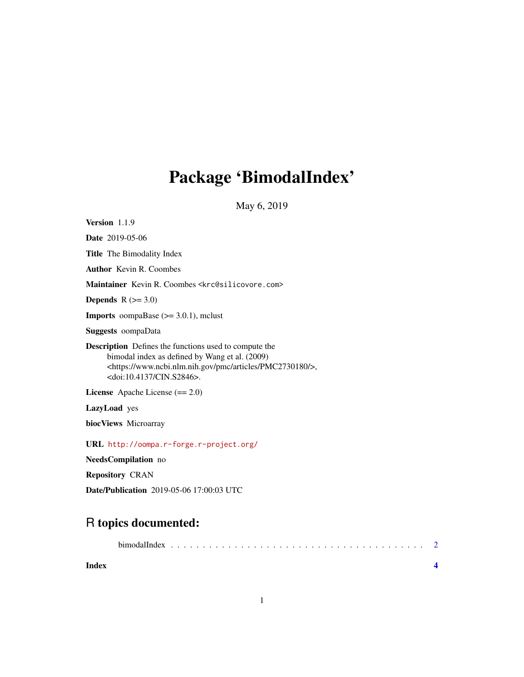## Package 'BimodalIndex'

May 6, 2019

<span id="page-0-0"></span>Version 1.1.9

Date 2019-05-06 Title The Bimodality Index

Author Kevin R. Coombes

Maintainer Kevin R. Coombes <krc@silicovore.com>

**Depends**  $R$  ( $>= 3.0$ )

**Imports** oompaBase  $(>= 3.0.1)$ , mclust

Suggests oompaData

Description Defines the functions used to compute the bimodal index as defined by Wang et al. (2009) <https://www.ncbi.nlm.nih.gov/pmc/articles/PMC2730180/>, <doi:10.4137/CIN.S2846>.

License Apache License (== 2.0)

LazyLoad yes

biocViews Microarray

URL <http://oompa.r-forge.r-project.org/>

NeedsCompilation no

Repository CRAN

Date/Publication 2019-05-06 17:00:03 UTC

### R topics documented:

| Index |  |  |  |  |  |  |  |  |  |  |  |  |  |  |  |  |  |  |
|-------|--|--|--|--|--|--|--|--|--|--|--|--|--|--|--|--|--|--|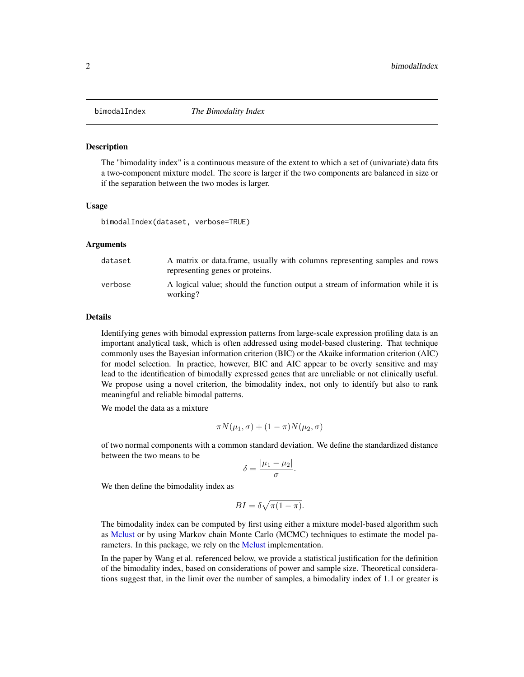<span id="page-1-0"></span>

#### **Description**

The "bimodality index" is a continuous measure of the extent to which a set of (univariate) data fits a two-component mixture model. The score is larger if the two components are balanced in size or if the separation between the two modes is larger.

#### Usage

bimodalIndex(dataset, verbose=TRUE)

#### Arguments

| dataset | A matrix or data frame, usually with columns representing samples and rows<br>representing genes or proteins. |
|---------|---------------------------------------------------------------------------------------------------------------|
| verbose | A logical value; should the function output a stream of information while it is<br>working?                   |

#### Details

Identifying genes with bimodal expression patterns from large-scale expression profiling data is an important analytical task, which is often addressed using model-based clustering. That technique commonly uses the Bayesian information criterion (BIC) or the Akaike information criterion (AIC) for model selection. In practice, however, BIC and AIC appear to be overly sensitive and may lead to the identification of bimodally expressed genes that are unreliable or not clinically useful. We propose using a novel criterion, the bimodality index, not only to identify but also to rank meaningful and reliable bimodal patterns.

We model the data as a mixture

$$
\pi N(\mu_1, \sigma) + (1 - \pi)N(\mu_2, \sigma)
$$

of two normal components with a common standard deviation. We define the standardized distance between the two means to be

$$
\delta = \frac{|\mu_1 - \mu_2|}{\sigma}.
$$

We then define the bimodality index as

$$
BI = \delta \sqrt{\pi (1 - \pi)}.
$$

The bimodality index can be computed by first using either a mixture model-based algorithm such as [Mclust](#page-0-0) or by using Markov chain Monte Carlo (MCMC) techniques to estimate the model parameters. In this package, we rely on the [Mclust](#page-0-0) implementation.

In the paper by Wang et al. referenced below, we provide a statistical justification for the definition of the bimodality index, based on considerations of power and sample size. Theoretical considerations suggest that, in the limit over the number of samples, a bimodality index of 1.1 or greater is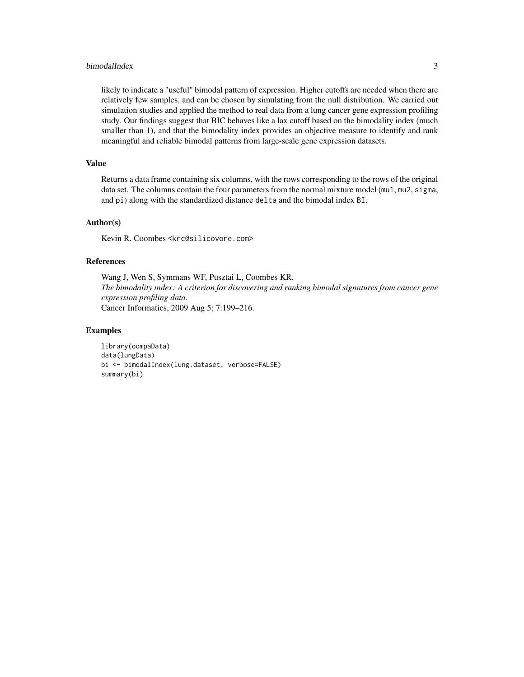#### bimodalIndex 3

likely to indicate a "useful" bimodal pattern of expression. Higher cutoffs are needed when there are relatively few samples, and can be chosen by simulating from the null distribution. We carried out simulation studies and applied the method to real data from a lung cancer gene expression profiling study. Our findings suggest that BIC behaves like a lax cutoff based on the bimodality index (much smaller than 1), and that the bimodality index provides an objective measure to identify and rank meaningful and reliable bimodal patterns from large-scale gene expression datasets.

#### Value

Returns a data frame containing six columns, with the rows corresponding to the rows of the original data set. The columns contain the four parameters from the normal mixture model (mu1, mu2, sigma, and pi) along with the standardized distance delta and the bimodal index BI.

#### Author(s)

Kevin R. Coombes <krc@silicovore.com>

#### References

Wang J, Wen S, Symmans WF, Pusztai L, Coombes KR. *The bimodality index: A criterion for discovering and ranking bimodal signatures from cancer gene expression profiling data.* Cancer Informatics, 2009 Aug 5; 7:199–216.

#### Examples

```
library(oompaData)
data(lungData)
bi <- bimodalIndex(lung.dataset, verbose=FALSE)
summary(bi)
```